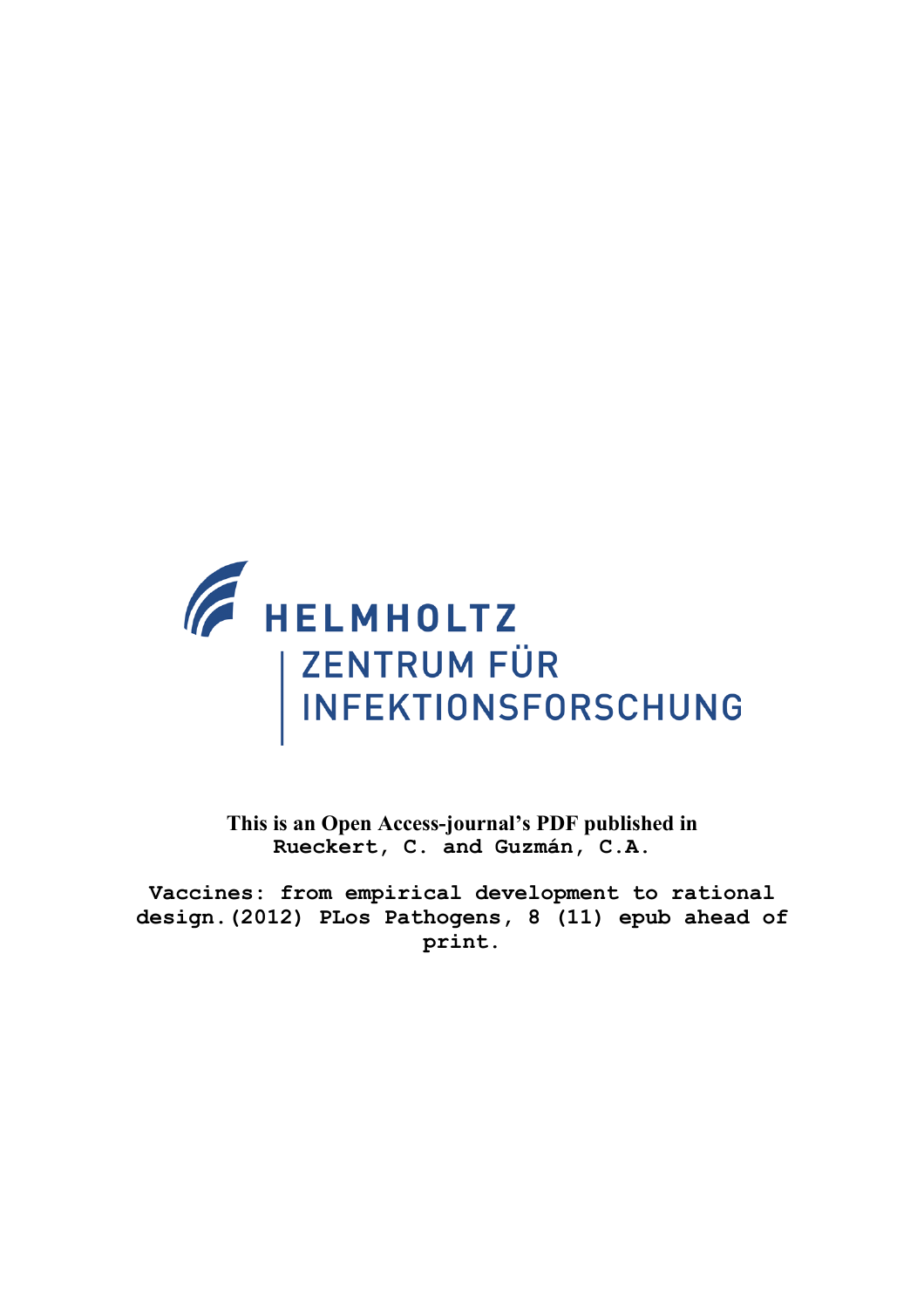

**This is an Open Access-journal's PDF published in Rueckert, C. and Guzmán, C.A.**

**Vaccines: from empirical development to rational design.(2012) PLos Pathogens, 8 (11) epub ahead of print.**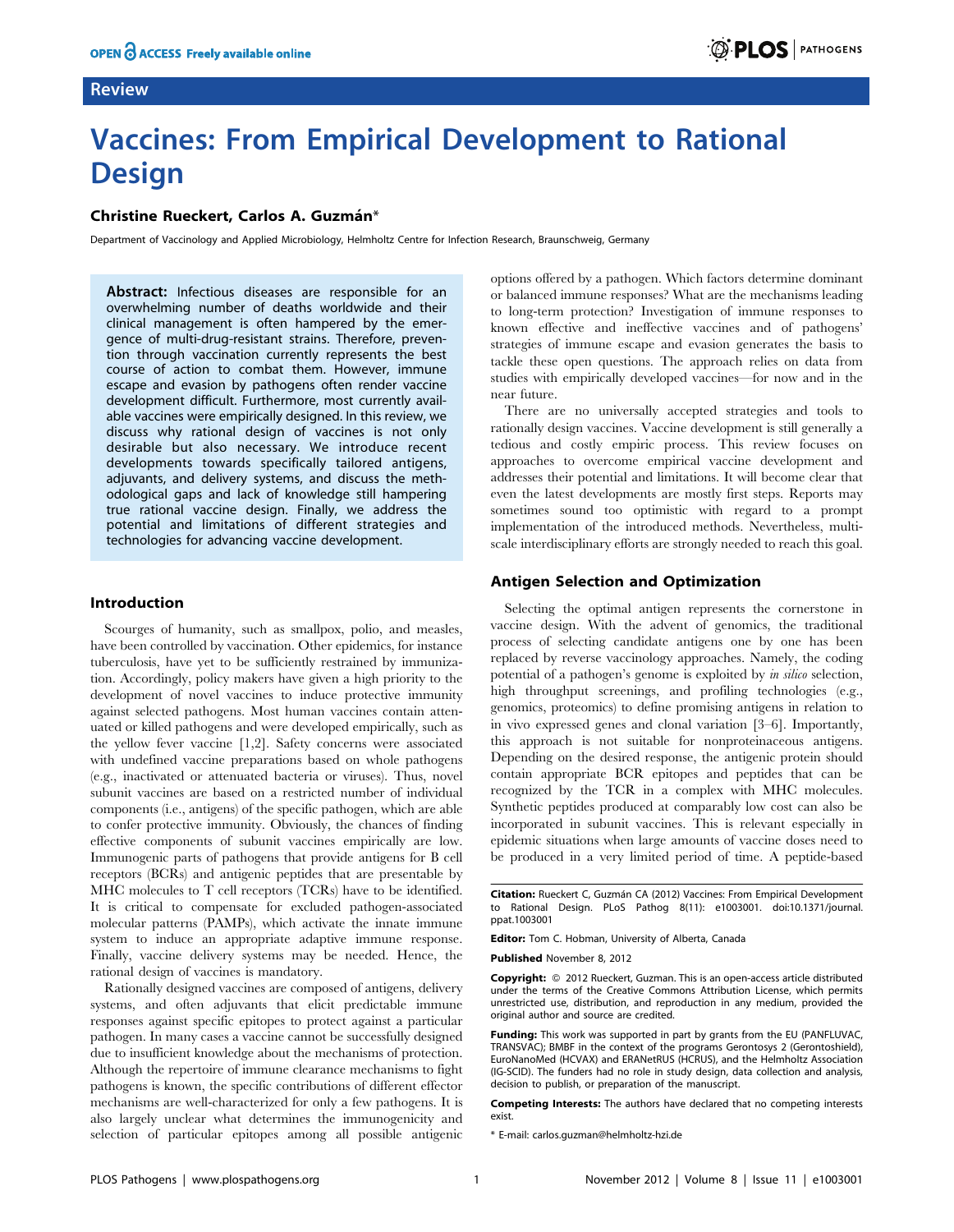## Review



# Vaccines: From Empirical Development to Rational **Design**

## Christine Rueckert, Carlos A. Guzmán\*

Department of Vaccinology and Applied Microbiology, Helmholtz Centre for Infection Research, Braunschweig, Germany

Abstract: Infectious diseases are responsible for an overwhelming number of deaths worldwide and their clinical management is often hampered by the emergence of multi-drug-resistant strains. Therefore, prevention through vaccination currently represents the best course of action to combat them. However, immune escape and evasion by pathogens often render vaccine development difficult. Furthermore, most currently available vaccines were empirically designed. In this review, we discuss why rational design of vaccines is not only desirable but also necessary. We introduce recent developments towards specifically tailored antigens, adjuvants, and delivery systems, and discuss the methodological gaps and lack of knowledge still hampering true rational vaccine design. Finally, we address the potential and limitations of different strategies and technologies for advancing vaccine development.

#### Introduction

Scourges of humanity, such as smallpox, polio, and measles, have been controlled by vaccination. Other epidemics, for instance tuberculosis, have yet to be sufficiently restrained by immunization. Accordingly, policy makers have given a high priority to the development of novel vaccines to induce protective immunity against selected pathogens. Most human vaccines contain attenuated or killed pathogens and were developed empirically, such as the yellow fever vaccine [1,2]. Safety concerns were associated with undefined vaccine preparations based on whole pathogens (e.g., inactivated or attenuated bacteria or viruses). Thus, novel subunit vaccines are based on a restricted number of individual components (i.e., antigens) of the specific pathogen, which are able to confer protective immunity. Obviously, the chances of finding effective components of subunit vaccines empirically are low. Immunogenic parts of pathogens that provide antigens for B cell receptors (BCRs) and antigenic peptides that are presentable by MHC molecules to T cell receptors (TCRs) have to be identified. It is critical to compensate for excluded pathogen-associated molecular patterns (PAMPs), which activate the innate immune system to induce an appropriate adaptive immune response. Finally, vaccine delivery systems may be needed. Hence, the rational design of vaccines is mandatory.

Rationally designed vaccines are composed of antigens, delivery systems, and often adjuvants that elicit predictable immune responses against specific epitopes to protect against a particular pathogen. In many cases a vaccine cannot be successfully designed due to insufficient knowledge about the mechanisms of protection. Although the repertoire of immune clearance mechanisms to fight pathogens is known, the specific contributions of different effector mechanisms are well-characterized for only a few pathogens. It is also largely unclear what determines the immunogenicity and selection of particular epitopes among all possible antigenic options offered by a pathogen. Which factors determine dominant or balanced immune responses? What are the mechanisms leading to long-term protection? Investigation of immune responses to known effective and ineffective vaccines and of pathogens' strategies of immune escape and evasion generates the basis to tackle these open questions. The approach relies on data from studies with empirically developed vaccines—for now and in the near future.

There are no universally accepted strategies and tools to rationally design vaccines. Vaccine development is still generally a tedious and costly empiric process. This review focuses on approaches to overcome empirical vaccine development and addresses their potential and limitations. It will become clear that even the latest developments are mostly first steps. Reports may sometimes sound too optimistic with regard to a prompt implementation of the introduced methods. Nevertheless, multiscale interdisciplinary efforts are strongly needed to reach this goal.

#### Antigen Selection and Optimization

Selecting the optimal antigen represents the cornerstone in vaccine design. With the advent of genomics, the traditional process of selecting candidate antigens one by one has been replaced by reverse vaccinology approaches. Namely, the coding potential of a pathogen's genome is exploited by in silico selection, high throughput screenings, and profiling technologies (e.g., genomics, proteomics) to define promising antigens in relation to in vivo expressed genes and clonal variation [3–6]. Importantly, this approach is not suitable for nonproteinaceous antigens. Depending on the desired response, the antigenic protein should contain appropriate BCR epitopes and peptides that can be recognized by the TCR in a complex with MHC molecules. Synthetic peptides produced at comparably low cost can also be incorporated in subunit vaccines. This is relevant especially in epidemic situations when large amounts of vaccine doses need to be produced in a very limited period of time. A peptide-based

Editor: Tom C. Hobman, University of Alberta, Canada

Published November 8, 2012

**Copyright:** © 2012 Rueckert, Guzman. This is an open-access article distributed under the terms of the Creative Commons Attribution License, which permits unrestricted use, distribution, and reproduction in any medium, provided the original author and source are credited.

Funding: This work was supported in part by grants from the EU (PANFLUVAC, TRANSVAC); BMBF in the context of the programs Gerontosys 2 (Gerontoshield), EuroNanoMed (HCVAX) and ERANetRUS (HCRUS), and the Helmholtz Association (IG-SCID). The funders had no role in study design, data collection and analysis, decision to publish, or preparation of the manuscript.

Competing Interests: The authors have declared that no competing interests exist.

\* E-mail: carlos.guzman@helmholtz-hzi.de

Citation: Rueckert C, Guzmán CA (2012) Vaccines: From Empirical Development to Rational Design. PLoS Pathog 8(11): e1003001. doi:10.1371/journal. ppat.1003001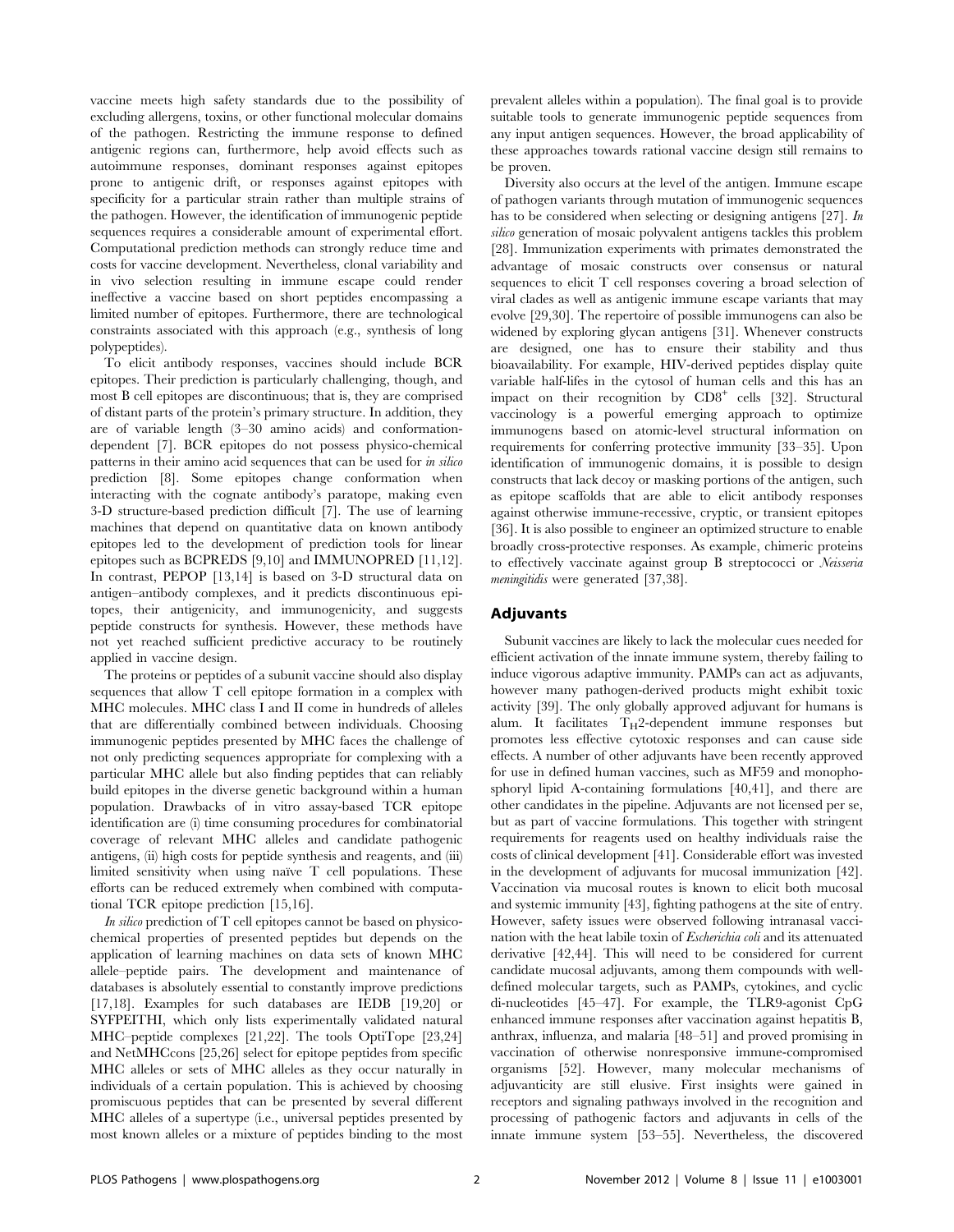vaccine meets high safety standards due to the possibility of excluding allergens, toxins, or other functional molecular domains of the pathogen. Restricting the immune response to defined antigenic regions can, furthermore, help avoid effects such as autoimmune responses, dominant responses against epitopes prone to antigenic drift, or responses against epitopes with specificity for a particular strain rather than multiple strains of the pathogen. However, the identification of immunogenic peptide sequences requires a considerable amount of experimental effort. Computational prediction methods can strongly reduce time and costs for vaccine development. Nevertheless, clonal variability and in vivo selection resulting in immune escape could render ineffective a vaccine based on short peptides encompassing a limited number of epitopes. Furthermore, there are technological constraints associated with this approach (e.g., synthesis of long polypeptides).

To elicit antibody responses, vaccines should include BCR epitopes. Their prediction is particularly challenging, though, and most B cell epitopes are discontinuous; that is, they are comprised of distant parts of the protein's primary structure. In addition, they are of variable length (3–30 amino acids) and conformationdependent [7]. BCR epitopes do not possess physico-chemical patterns in their amino acid sequences that can be used for in silico prediction [8]. Some epitopes change conformation when interacting with the cognate antibody's paratope, making even 3-D structure-based prediction difficult [7]. The use of learning machines that depend on quantitative data on known antibody epitopes led to the development of prediction tools for linear epitopes such as BCPREDS [9,10] and IMMUNOPRED [11,12]. In contrast, PEPOP [13,14] is based on 3-D structural data on antigen–antibody complexes, and it predicts discontinuous epitopes, their antigenicity, and immunogenicity, and suggests peptide constructs for synthesis. However, these methods have not yet reached sufficient predictive accuracy to be routinely applied in vaccine design.

The proteins or peptides of a subunit vaccine should also display sequences that allow T cell epitope formation in a complex with MHC molecules. MHC class I and II come in hundreds of alleles that are differentially combined between individuals. Choosing immunogenic peptides presented by MHC faces the challenge of not only predicting sequences appropriate for complexing with a particular MHC allele but also finding peptides that can reliably build epitopes in the diverse genetic background within a human population. Drawbacks of in vitro assay-based TCR epitope identification are (i) time consuming procedures for combinatorial coverage of relevant MHC alleles and candidate pathogenic antigens, (ii) high costs for peptide synthesis and reagents, and (iii) limited sensitivity when using naïve  $T$  cell populations. These efforts can be reduced extremely when combined with computational TCR epitope prediction [15,16].

In silico prediction of  $T$  cell epitopes cannot be based on physicochemical properties of presented peptides but depends on the application of learning machines on data sets of known MHC allele–peptide pairs. The development and maintenance of databases is absolutely essential to constantly improve predictions [17,18]. Examples for such databases are IEDB [19,20] or SYFPEITHI, which only lists experimentally validated natural MHC–peptide complexes [21,22]. The tools OptiTope [23,24] and NetMHCcons [25,26] select for epitope peptides from specific MHC alleles or sets of MHC alleles as they occur naturally in individuals of a certain population. This is achieved by choosing promiscuous peptides that can be presented by several different MHC alleles of a supertype (i.e., universal peptides presented by most known alleles or a mixture of peptides binding to the most prevalent alleles within a population). The final goal is to provide suitable tools to generate immunogenic peptide sequences from any input antigen sequences. However, the broad applicability of these approaches towards rational vaccine design still remains to be proven.

Diversity also occurs at the level of the antigen. Immune escape of pathogen variants through mutation of immunogenic sequences has to be considered when selecting or designing antigens [27]. In silico generation of mosaic polyvalent antigens tackles this problem [28]. Immunization experiments with primates demonstrated the advantage of mosaic constructs over consensus or natural sequences to elicit T cell responses covering a broad selection of viral clades as well as antigenic immune escape variants that may evolve [29,30]. The repertoire of possible immunogens can also be widened by exploring glycan antigens [31]. Whenever constructs are designed, one has to ensure their stability and thus bioavailability. For example, HIV-derived peptides display quite variable half-lifes in the cytosol of human cells and this has an impact on their recognition by CD8<sup>+</sup> cells [32]. Structural vaccinology is a powerful emerging approach to optimize immunogens based on atomic-level structural information on requirements for conferring protective immunity [33–35]. Upon identification of immunogenic domains, it is possible to design constructs that lack decoy or masking portions of the antigen, such as epitope scaffolds that are able to elicit antibody responses against otherwise immune-recessive, cryptic, or transient epitopes [36]. It is also possible to engineer an optimized structure to enable broadly cross-protective responses. As example, chimeric proteins to effectively vaccinate against group B streptococci or Neisseria meningitidis were generated [37,38].

#### Adjuvants

Subunit vaccines are likely to lack the molecular cues needed for efficient activation of the innate immune system, thereby failing to induce vigorous adaptive immunity. PAMPs can act as adjuvants, however many pathogen-derived products might exhibit toxic activity [39]. The only globally approved adjuvant for humans is alum. It facilitates  $T_H$ 2-dependent immune responses but promotes less effective cytotoxic responses and can cause side effects. A number of other adjuvants have been recently approved for use in defined human vaccines, such as MF59 and monophosphoryl lipid A-containing formulations [40,41], and there are other candidates in the pipeline. Adjuvants are not licensed per se, but as part of vaccine formulations. This together with stringent requirements for reagents used on healthy individuals raise the costs of clinical development [41]. Considerable effort was invested in the development of adjuvants for mucosal immunization [42]. Vaccination via mucosal routes is known to elicit both mucosal and systemic immunity [43], fighting pathogens at the site of entry. However, safety issues were observed following intranasal vaccination with the heat labile toxin of Escherichia coli and its attenuated derivative [42,44]. This will need to be considered for current candidate mucosal adjuvants, among them compounds with welldefined molecular targets, such as PAMPs, cytokines, and cyclic di-nucleotides [45–47]. For example, the TLR9-agonist CpG enhanced immune responses after vaccination against hepatitis B, anthrax, influenza, and malaria [48–51] and proved promising in vaccination of otherwise nonresponsive immune-compromised organisms [52]. However, many molecular mechanisms of adjuvanticity are still elusive. First insights were gained in receptors and signaling pathways involved in the recognition and processing of pathogenic factors and adjuvants in cells of the innate immune system [53–55]. Nevertheless, the discovered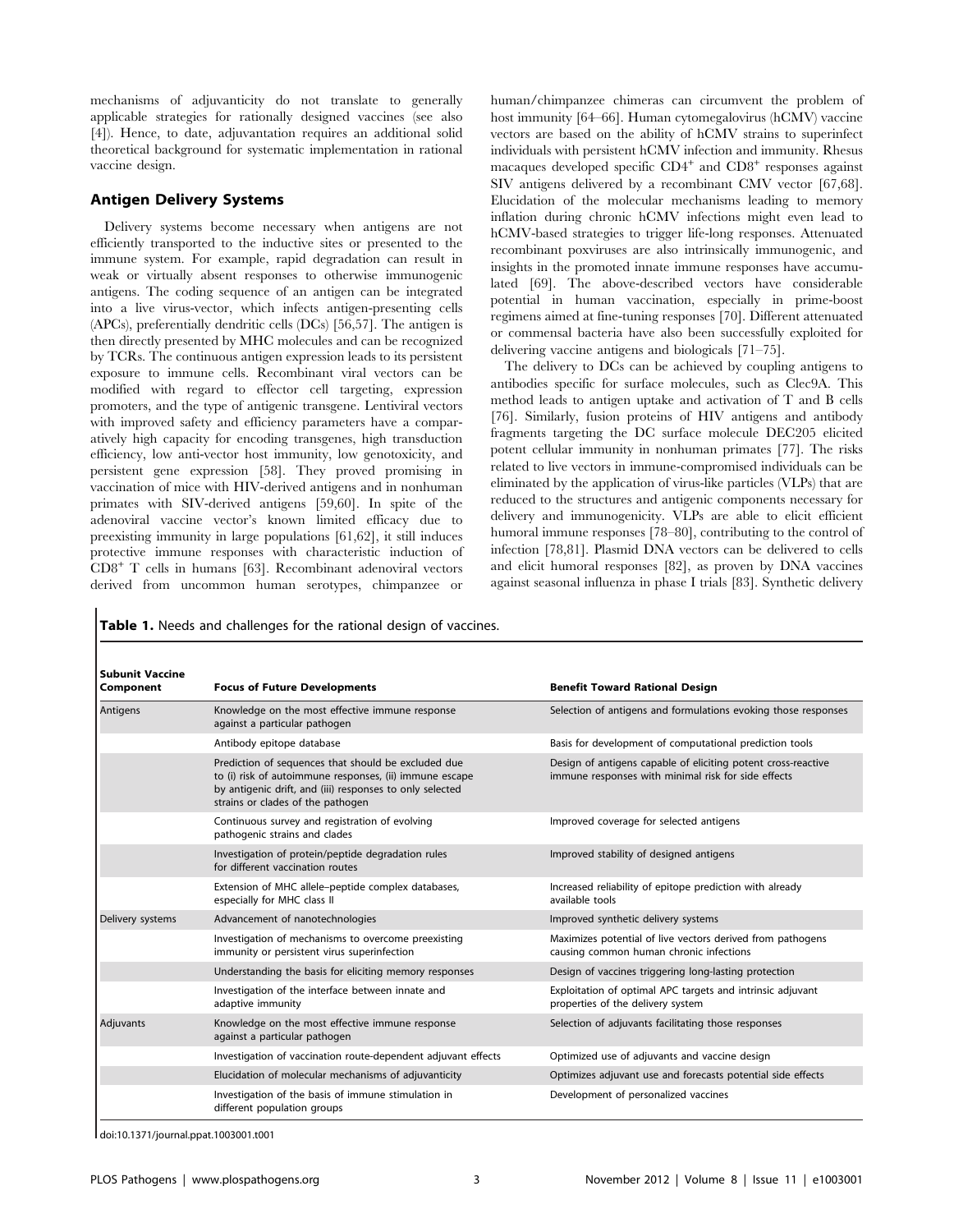mechanisms of adjuvanticity do not translate to generally applicable strategies for rationally designed vaccines (see also [4]). Hence, to date, adjuvantation requires an additional solid theoretical background for systematic implementation in rational vaccine design.

#### Antigen Delivery Systems

Delivery systems become necessary when antigens are not efficiently transported to the inductive sites or presented to the immune system. For example, rapid degradation can result in weak or virtually absent responses to otherwise immunogenic antigens. The coding sequence of an antigen can be integrated into a live virus-vector, which infects antigen-presenting cells (APCs), preferentially dendritic cells (DCs) [56,57]. The antigen is then directly presented by MHC molecules and can be recognized by TCRs. The continuous antigen expression leads to its persistent exposure to immune cells. Recombinant viral vectors can be modified with regard to effector cell targeting, expression promoters, and the type of antigenic transgene. Lentiviral vectors with improved safety and efficiency parameters have a comparatively high capacity for encoding transgenes, high transduction efficiency, low anti-vector host immunity, low genotoxicity, and persistent gene expression [58]. They proved promising in vaccination of mice with HIV-derived antigens and in nonhuman primates with SIV-derived antigens [59,60]. In spite of the adenoviral vaccine vector's known limited efficacy due to preexisting immunity in large populations [61,62], it still induces protective immune responses with characteristic induction of CD8<sup>+</sup> T cells in humans [63]. Recombinant adenoviral vectors derived from uncommon human serotypes, chimpanzee or

human/chimpanzee chimeras can circumvent the problem of host immunity [64–66]. Human cytomegalovirus (hCMV) vaccine vectors are based on the ability of hCMV strains to superinfect individuals with persistent hCMV infection and immunity. Rhesus macaques developed specific  $CD4^+$  and  $CD8^+$  responses against SIV antigens delivered by a recombinant CMV vector [67,68]. Elucidation of the molecular mechanisms leading to memory inflation during chronic hCMV infections might even lead to hCMV-based strategies to trigger life-long responses. Attenuated recombinant poxviruses are also intrinsically immunogenic, and insights in the promoted innate immune responses have accumulated [69]. The above-described vectors have considerable potential in human vaccination, especially in prime-boost regimens aimed at fine-tuning responses [70]. Different attenuated or commensal bacteria have also been successfully exploited for delivering vaccine antigens and biologicals [71–75].

The delivery to DCs can be achieved by coupling antigens to antibodies specific for surface molecules, such as Clec9A. This method leads to antigen uptake and activation of T and B cells [76]. Similarly, fusion proteins of HIV antigens and antibody fragments targeting the DC surface molecule DEC205 elicited potent cellular immunity in nonhuman primates [77]. The risks related to live vectors in immune-compromised individuals can be eliminated by the application of virus-like particles (VLPs) that are reduced to the structures and antigenic components necessary for delivery and immunogenicity. VLPs are able to elicit efficient humoral immune responses [78–80], contributing to the control of infection [78,81]. Plasmid DNA vectors can be delivered to cells and elicit humoral responses [82], as proven by DNA vaccines against seasonal influenza in phase I trials [83]. Synthetic delivery

|  |  |  | <b>Table 1.</b> Needs and challenges for the rational design of vaccines. |  |  |  |  |  |
|--|--|--|---------------------------------------------------------------------------|--|--|--|--|--|
|--|--|--|---------------------------------------------------------------------------|--|--|--|--|--|

| <b>Subunit Vaccine</b><br>Component | <b>Focus of Future Developments</b>                                                                                                                                                                             | <b>Benefit Toward Rational Design</b>                                                                                |  |  |  |
|-------------------------------------|-----------------------------------------------------------------------------------------------------------------------------------------------------------------------------------------------------------------|----------------------------------------------------------------------------------------------------------------------|--|--|--|
| Antigens                            | Knowledge on the most effective immune response<br>against a particular pathogen                                                                                                                                | Selection of antigens and formulations evoking those responses                                                       |  |  |  |
|                                     | Antibody epitope database                                                                                                                                                                                       | Basis for development of computational prediction tools                                                              |  |  |  |
|                                     | Prediction of sequences that should be excluded due<br>to (i) risk of autoimmune responses, (ii) immune escape<br>by antigenic drift, and (iii) responses to only selected<br>strains or clades of the pathogen | Design of antigens capable of eliciting potent cross-reactive<br>immune responses with minimal risk for side effects |  |  |  |
|                                     | Continuous survey and registration of evolving<br>pathogenic strains and clades                                                                                                                                 | Improved coverage for selected antigens                                                                              |  |  |  |
|                                     | Investigation of protein/peptide degradation rules<br>for different vaccination routes                                                                                                                          | Improved stability of designed antigens                                                                              |  |  |  |
|                                     | Extension of MHC allele-peptide complex databases,<br>especially for MHC class II                                                                                                                               | Increased reliability of epitope prediction with already<br>available tools                                          |  |  |  |
| Delivery systems                    | Advancement of nanotechnologies                                                                                                                                                                                 | Improved synthetic delivery systems                                                                                  |  |  |  |
|                                     | Investigation of mechanisms to overcome preexisting<br>immunity or persistent virus superinfection                                                                                                              | Maximizes potential of live vectors derived from pathogens<br>causing common human chronic infections                |  |  |  |
|                                     | Understanding the basis for eliciting memory responses                                                                                                                                                          | Design of vaccines triggering long-lasting protection                                                                |  |  |  |
|                                     | Investigation of the interface between innate and<br>adaptive immunity                                                                                                                                          | Exploitation of optimal APC targets and intrinsic adjuvant<br>properties of the delivery system                      |  |  |  |
| Adjuvants                           | Knowledge on the most effective immune response<br>against a particular pathogen                                                                                                                                | Selection of adjuvants facilitating those responses                                                                  |  |  |  |
|                                     | Investigation of vaccination route-dependent adjuvant effects                                                                                                                                                   | Optimized use of adjuvants and vaccine design                                                                        |  |  |  |
|                                     | Elucidation of molecular mechanisms of adjuvanticity                                                                                                                                                            | Optimizes adjuvant use and forecasts potential side effects                                                          |  |  |  |
|                                     | Investigation of the basis of immune stimulation in<br>different population groups                                                                                                                              | Development of personalized vaccines                                                                                 |  |  |  |

doi:10.1371/journal.ppat.1003001.t001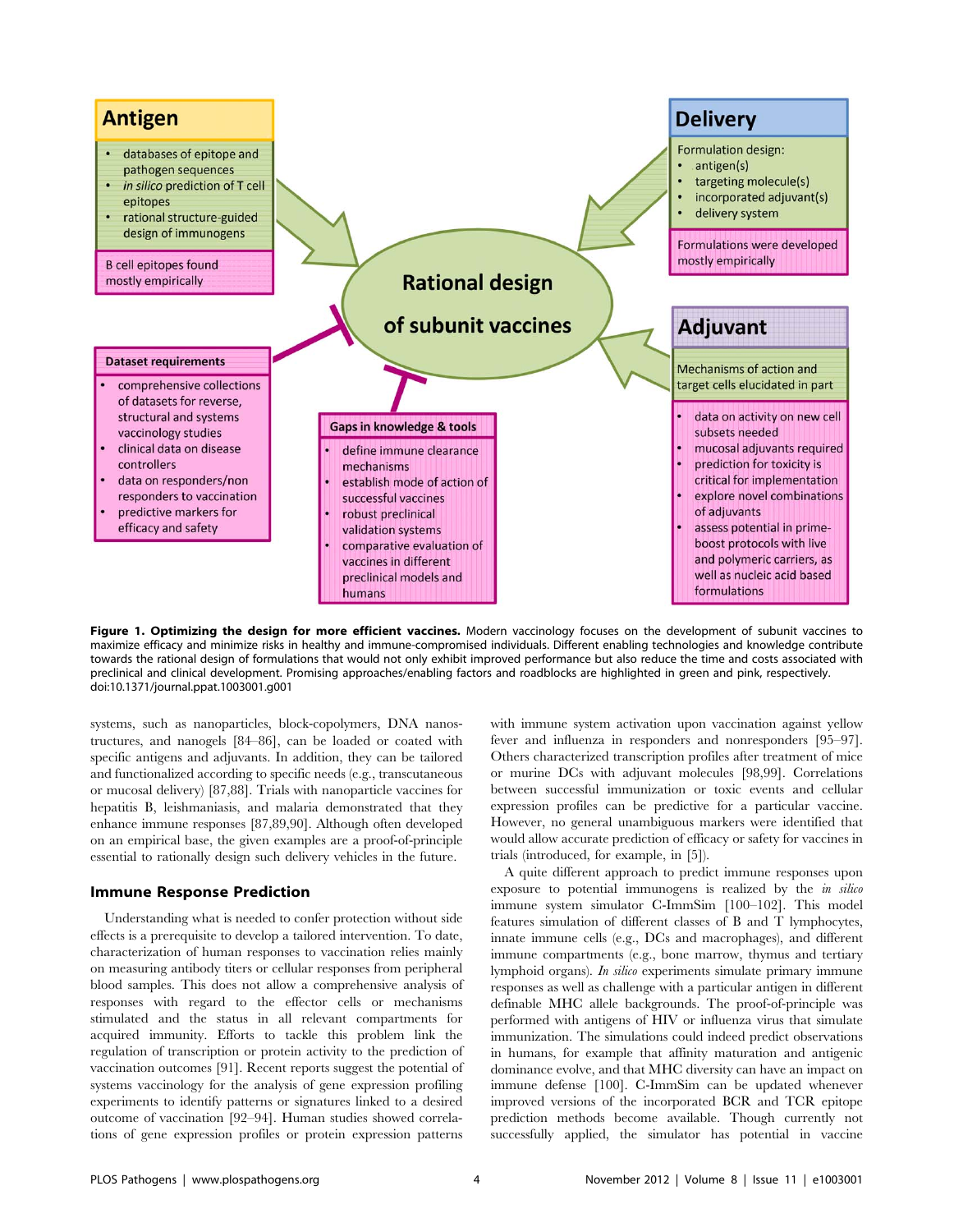

Figure 1. Optimizing the design for more efficient vaccines. Modern vaccinology focuses on the development of subunit vaccines to maximize efficacy and minimize risks in healthy and immune-compromised individuals. Different enabling technologies and knowledge contribute towards the rational design of formulations that would not only exhibit improved performance but also reduce the time and costs associated with preclinical and clinical development. Promising approaches/enabling factors and roadblocks are highlighted in green and pink, respectively. doi:10.1371/journal.ppat.1003001.g001

systems, such as nanoparticles, block-copolymers, DNA nanostructures, and nanogels [84–86], can be loaded or coated with specific antigens and adjuvants. In addition, they can be tailored and functionalized according to specific needs (e.g., transcutaneous or mucosal delivery) [87,88]. Trials with nanoparticle vaccines for hepatitis B, leishmaniasis, and malaria demonstrated that they enhance immune responses [87,89,90]. Although often developed on an empirical base, the given examples are a proof-of-principle essential to rationally design such delivery vehicles in the future.

#### Immune Response Prediction

Understanding what is needed to confer protection without side effects is a prerequisite to develop a tailored intervention. To date, characterization of human responses to vaccination relies mainly on measuring antibody titers or cellular responses from peripheral blood samples. This does not allow a comprehensive analysis of responses with regard to the effector cells or mechanisms stimulated and the status in all relevant compartments for acquired immunity. Efforts to tackle this problem link the regulation of transcription or protein activity to the prediction of vaccination outcomes [91]. Recent reports suggest the potential of systems vaccinology for the analysis of gene expression profiling experiments to identify patterns or signatures linked to a desired outcome of vaccination [92–94]. Human studies showed correlations of gene expression profiles or protein expression patterns

with immune system activation upon vaccination against yellow fever and influenza in responders and nonresponders [95–97]. Others characterized transcription profiles after treatment of mice or murine DCs with adjuvant molecules [98,99]. Correlations between successful immunization or toxic events and cellular expression profiles can be predictive for a particular vaccine. However, no general unambiguous markers were identified that would allow accurate prediction of efficacy or safety for vaccines in trials (introduced, for example, in [5]).

A quite different approach to predict immune responses upon exposure to potential immunogens is realized by the in silico immune system simulator C-ImmSim [100–102]. This model features simulation of different classes of B and T lymphocytes, innate immune cells (e.g., DCs and macrophages), and different immune compartments (e.g., bone marrow, thymus and tertiary lymphoid organs). In silico experiments simulate primary immune responses as well as challenge with a particular antigen in different definable MHC allele backgrounds. The proof-of-principle was performed with antigens of HIV or influenza virus that simulate immunization. The simulations could indeed predict observations in humans, for example that affinity maturation and antigenic dominance evolve, and that MHC diversity can have an impact on immune defense [100]. C-ImmSim can be updated whenever improved versions of the incorporated BCR and TCR epitope prediction methods become available. Though currently not successfully applied, the simulator has potential in vaccine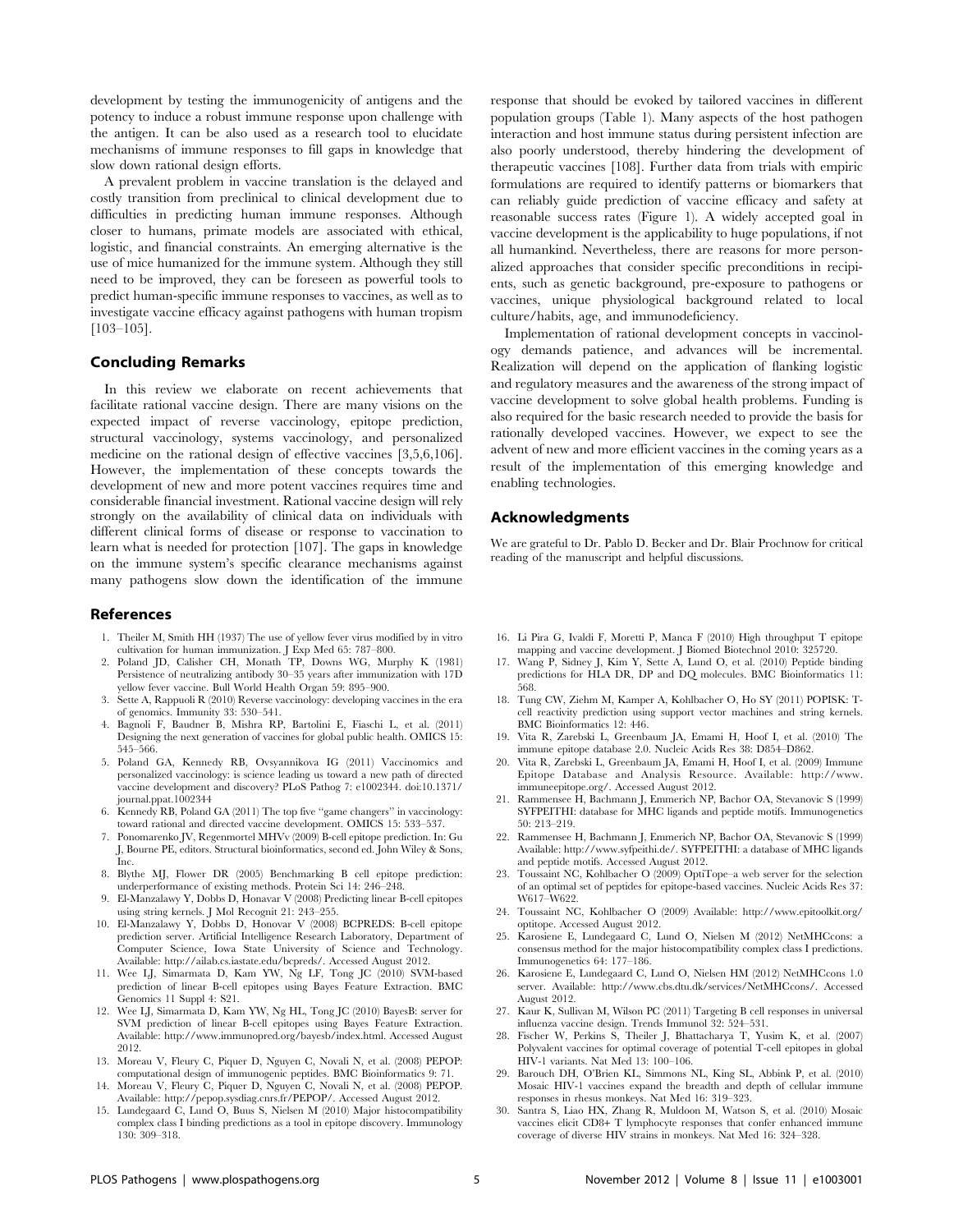development by testing the immunogenicity of antigens and the potency to induce a robust immune response upon challenge with the antigen. It can be also used as a research tool to elucidate mechanisms of immune responses to fill gaps in knowledge that slow down rational design efforts.

A prevalent problem in vaccine translation is the delayed and costly transition from preclinical to clinical development due to difficulties in predicting human immune responses. Although closer to humans, primate models are associated with ethical, logistic, and financial constraints. An emerging alternative is the use of mice humanized for the immune system. Although they still need to be improved, they can be foreseen as powerful tools to predict human-specific immune responses to vaccines, as well as to investigate vaccine efficacy against pathogens with human tropism [103–105].

### Concluding Remarks

In this review we elaborate on recent achievements that facilitate rational vaccine design. There are many visions on the expected impact of reverse vaccinology, epitope prediction, structural vaccinology, systems vaccinology, and personalized medicine on the rational design of effective vaccines [3,5,6,106]. However, the implementation of these concepts towards the development of new and more potent vaccines requires time and considerable financial investment. Rational vaccine design will rely strongly on the availability of clinical data on individuals with different clinical forms of disease or response to vaccination to learn what is needed for protection [107]. The gaps in knowledge on the immune system's specific clearance mechanisms against many pathogens slow down the identification of the immune

#### References

- 1. Theiler M, Smith HH (1937) The use of yellow fever virus modified by in vitro cultivation for human immunization. J Exp Med 65: 787–800.
- 2. Poland JD, Calisher CH, Monath TP, Downs WG, Murphy K (1981) Persistence of neutralizing antibody 30–35 years after immunization with 17D yellow fever vaccine. Bull World Health Organ 59: 895–900.
- 3. Sette A, Rappuoli R (2010) Reverse vaccinology: developing vaccines in the era of genomics. Immunity 33: 530–541.
- 4. Bagnoli F, Baudner B, Mishra RP, Bartolini E, Fiaschi L, et al. (2011) Designing the next generation of vaccines for global public health. OMICS 15: 545–566.
- 5. Poland GA, Kennedy RB, Ovsyannikova IG (2011) Vaccinomics and personalized vaccinology: is science leading us toward a new path of directed vaccine development and discovery? PLoS Pathog 7: e1002344. doi:10.1371/ journal.ppat.1002344
- 6. Kennedy RB, Poland GA (2011) The top five ''game changers'' in vaccinology: toward rational and directed vaccine development. OMICS 15: 533–537.
- 7. Ponomarenko JV, Regenmortel MHVv (2009) B-cell epitope prediction. In: Gu J, Bourne PE, editors. Structural bioinformatics, second ed. John Wiley & Sons, Inc.
- 8. Blythe MJ, Flower DR (2005) Benchmarking B cell epitope prediction: underperformance of existing methods. Protein Sci 14: 246–248.
- 9. El-Manzalawy Y, Dobbs D, Honavar V (2008) Predicting linear B-cell epitopes using string kernels. J Mol Recognit 21: 243–255.
- 10. El-Manzalawy Y, Dobbs D, Honovar V (2008) BCPREDS: B-cell epitope prediction server. Artificial Intelligence Research Laboratory, Department of Computer Science, Iowa State University of Science and Technology. Available: http://ailab.cs.iastate.edu/bcpreds/. Accessed August 2012.
- 11. Wee LJ, Simarmata D, Kam YW, Ng LF, Tong JC (2010) SVM-based prediction of linear B-cell epitopes using Bayes Feature Extraction. BMC Genomics 11 Suppl 4: S21.
- 12. Wee LJ, Simarmata D, Kam YW, Ng HL, Tong JC (2010) BayesB: server for SVM prediction of linear B-cell epitopes using Bayes Feature Extraction. Available: http://www.immunopred.org/bayesb/index.html. Accessed August 2012.
- 13. Moreau V, Fleury C, Piquer D, Nguyen C, Novali N, et al. (2008) PEPOP: computational design of immunogenic peptides. BMC Bioinformatics 9: 71.
- 14. Moreau V, Fleury C, Piquer D, Nguyen C, Novali N, et al. (2008) PEPOP. Available: http://pepop.sysdiag.cnrs.fr/PEPOP/. Accessed August 2012.
- 15. Lundegaard C, Lund O, Buus S, Nielsen M (2010) Major histocompatibility complex class I binding predictions as a tool in epitope discovery. Immunology 130: 309–318.

response that should be evoked by tailored vaccines in different population groups (Table 1). Many aspects of the host pathogen interaction and host immune status during persistent infection are also poorly understood, thereby hindering the development of therapeutic vaccines [108]. Further data from trials with empiric formulations are required to identify patterns or biomarkers that can reliably guide prediction of vaccine efficacy and safety at reasonable success rates (Figure 1). A widely accepted goal in vaccine development is the applicability to huge populations, if not all humankind. Nevertheless, there are reasons for more personalized approaches that consider specific preconditions in recipients, such as genetic background, pre-exposure to pathogens or vaccines, unique physiological background related to local culture/habits, age, and immunodeficiency.

Implementation of rational development concepts in vaccinology demands patience, and advances will be incremental. Realization will depend on the application of flanking logistic and regulatory measures and the awareness of the strong impact of vaccine development to solve global health problems. Funding is also required for the basic research needed to provide the basis for rationally developed vaccines. However, we expect to see the advent of new and more efficient vaccines in the coming years as a result of the implementation of this emerging knowledge and enabling technologies.

#### Acknowledgments

We are grateful to Dr. Pablo D. Becker and Dr. Blair Prochnow for critical reading of the manuscript and helpful discussions.

- 16. Li Pira G, Ivaldi F, Moretti P, Manca F (2010) High throughput T epitope mapping and vaccine development. J Biomed Biotechnol 2010: 325720.
- 17. Wang P, Sidney J, Kim Y, Sette A, Lund O, et al. (2010) Peptide binding predictions for HLA DR, DP and DQ molecules. BMC Bioinformatics 11: 568.
- 18. Tung CW, Ziehm M, Kamper A, Kohlbacher O, Ho SY (2011) POPISK: Tcell reactivity prediction using support vector machines and string kernels. BMC Bioinformatics 12: 446.
- 19. Vita R, Zarebski L, Greenbaum JA, Emami H, Hoof I, et al. (2010) The immune epitope database 2.0. Nucleic Acids Res 38: D854–D862.
- 20. Vita R, Zarebski L, Greenbaum JA, Emami H, Hoof I, et al. (2009) Immune Epitope Database and Analysis Resource. Available: http://www. immuneepitope.org/. Accessed August 2012.
- 21. Rammensee H, Bachmann J, Emmerich NP, Bachor OA, Stevanovic S (1999) SYFPEITHI: database for MHC ligands and peptide motifs. Immunogenetics 50: 213–219.
- 22. Rammensee H, Bachmann J, Emmerich NP, Bachor OA, Stevanovic S (1999) Available: http://www.syfpeithi.de/. SYFPEITHI: a database of MHC ligands and peptide motifs. Accessed August 2012.
- 23. Toussaint NC, Kohlbacher O (2009) OptiTope–a web server for the selection of an optimal set of peptides for epitope-based vaccines. Nucleic Acids Res 37: W617–W622.
- 24. Toussaint NC, Kohlbacher O (2009) Available: http://www.epitoolkit.org/ optitope. Accessed August 2012.
- 25. Karosiene E, Lundegaard C, Lund O, Nielsen M (2012) NetMHCcons: a consensus method for the major histocompatibility complex class I predictions. Immunogenetics 64: 177–186.
- 26. Karosiene E, Lundegaard C, Lund O, Nielsen HM (2012) NetMHCcons 1.0 server. Available: http://www.cbs.dtu.dk/services/NetMHCcons/. Accessed August 2012.
- 27. Kaur K, Sullivan M, Wilson PC (2011) Targeting B cell responses in universal influenza vaccine design. Trends Immunol 32: 524–531.
- 28. Fischer W, Perkins S, Theiler J, Bhattacharya T, Yusim K, et al. (2007) Polyvalent vaccines for optimal coverage of potential T-cell epitopes in global HIV-1 variants. Nat Med 13: 100–106.
- 29. Barouch DH, O'Brien KL, Simmons NL, King SL, Abbink P, et al. (2010) Mosaic HIV-1 vaccines expand the breadth and depth of cellular immune responses in rhesus monkeys. Nat Med 16: 319–323.
- 30. Santra S, Liao HX, Zhang R, Muldoon M, Watson S, et al. (2010) Mosaic vaccines elicit CD8+ T lymphocyte responses that confer enhanced immune coverage of diverse HIV strains in monkeys. Nat Med 16: 324–328.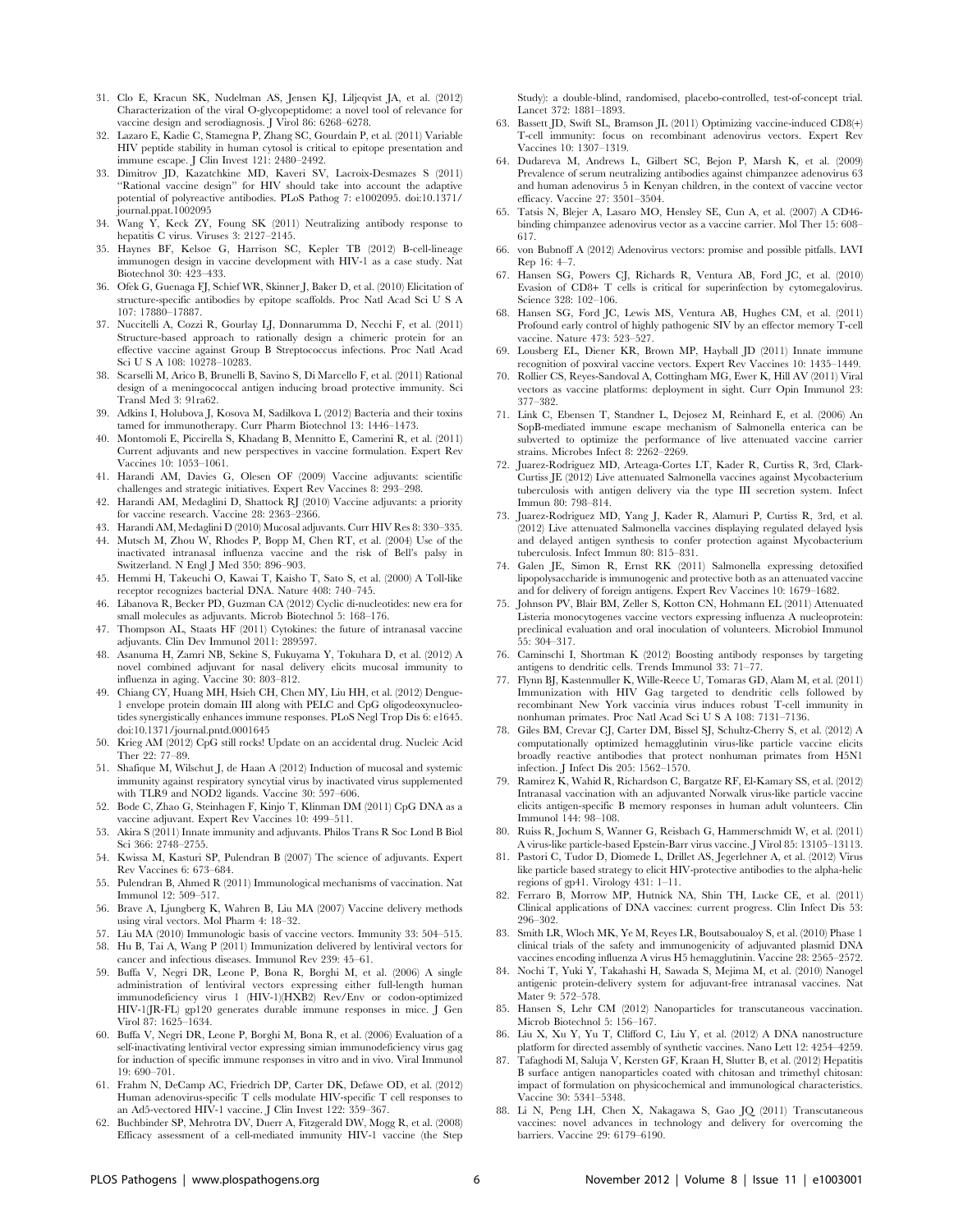- 31. Clo E, Kracun SK, Nudelman AS, Jensen KJ, Liljeqvist JA, et al. (2012) Characterization of the viral O-glycopeptidome: a novel tool of relevance for vaccine design and serodiagnosis. J Virol 86: 6268–6278.
- 32. Lazaro E, Kadie C, Stamegna P, Zhang SC, Gourdain P, et al. (2011) Variable HIV peptide stability in human cytosol is critical to epitope presentation and immune escape. J Clin Invest 121: 2480–2492.
- 33. Dimitrov JD, Kazatchkine MD, Kaveri SV, Lacroix-Desmazes S (2011) ''Rational vaccine design'' for HIV should take into account the adaptive potential of polyreactive antibodies. PLoS Pathog 7: e1002095. doi:10.1371/ journal.ppat.1002095
- 34. Wang Y, Keck ZY, Foung SK (2011) Neutralizing antibody response to hepatitis C virus. Viruses 3: 2127–2145.
- 35. Haynes BF, Kelsoe G, Harrison SC, Kepler TB (2012) B-cell-lineage immunogen design in vaccine development with HIV-1 as a case study. Nat Biotechnol 30: 423–433.
- 36. Ofek G, Guenaga FJ, Schief WR, Skinner J, Baker D, et al. (2010) Elicitation of structure-specific antibodies by epitope scaffolds. Proc Natl Acad Sci U S A 107: 17880–17887.
- 37. Nuccitelli A, Cozzi R, Gourlay LJ, Donnarumma D, Necchi F, et al. (2011) Structure-based approach to rationally design a chimeric protein for an effective vaccine against Group B Streptococcus infections. Proc Natl Acad Sci U S A 108: 10278–10283.
- 38. Scarselli M, Arico B, Brunelli B, Savino S, Di Marcello F, et al. (2011) Rational design of a meningococcal antigen inducing broad protective immunity. Sci Transl Med 3: 91ra62.
- 39. Adkins I, Holubova J, Kosova M, Sadilkova L (2012) Bacteria and their toxins tamed for immunotherapy. Curr Pharm Biotechnol 13: 1446–1473.
- 40. Montomoli E, Piccirella S, Khadang B, Mennitto E, Camerini R, et al. (2011) Current adjuvants and new perspectives in vaccine formulation. Expert Rev Vaccines 10: 1053–1061.
- 41. Harandi AM, Davies G, Olesen OF (2009) Vaccine adjuvants: scientific challenges and strategic initiatives. Expert Rev Vaccines 8: 293–298.
- 42. Harandi AM, Medaglini D, Shattock RJ (2010) Vaccine adjuvants: a priority for vaccine research. Vaccine 28: 2363–2366.
- 43. Harandi AM, Medaglini D (2010) Mucosal adjuvants. Curr HIV Res 8: 330–335.
- 44. Mutsch M, Zhou W, Rhodes P, Bopp M, Chen RT, et al. (2004) Use of the inactivated intranasal influenza vaccine and the risk of Bell's palsy in Switzerland. N Engl J Med 350: 896–903.
- 45. Hemmi H, Takeuchi O, Kawai T, Kaisho T, Sato S, et al. (2000) A Toll-like receptor recognizes bacterial DNA. Nature 408: 740–745.
- 46. Libanova R, Becker PD, Guzman CA (2012) Cyclic di-nucleotides: new era for small molecules as adjuvants. Microb Biotechnol 5: 168–176.
- 47. Thompson AL, Staats HF (2011) Cytokines: the future of intranasal vaccine adjuvants. Clin Dev Immunol 2011: 289597.
- 48. Asanuma H, Zamri NB, Sekine S, Fukuyama Y, Tokuhara D, et al. (2012) A novel combined adjuvant for nasal delivery elicits mucosal immunity to influenza in aging. Vaccine 30: 803–812.
- 49. Chiang CY, Huang MH, Hsieh CH, Chen MY, Liu HH, et al. (2012) Dengue-1 envelope protein domain III along with PELC and CpG oligodeoxynucleotides synergistically enhances immune responses. PLoS Negl Trop Dis 6: e1645. doi:10.1371/journal.pntd.0001645
- 50. Krieg AM (2012) CpG still rocks! Update on an accidental drug. Nucleic Acid Ther 22: 77–89.
- 51. Shafique M, Wilschut J, de Haan A (2012) Induction of mucosal and systemic immunity against respiratory syncytial virus by inactivated virus supplemented with TLR9 and NOD2 ligands. Vaccine 30: 597-606.
- 52. Bode C, Zhao G, Steinhagen F, Kinjo T, Klinman DM (2011) CpG DNA as a vaccine adjuvant. Expert Rev Vaccines 10: 499–511.
- 53. Akira S (2011) Innate immunity and adjuvants. Philos Trans R Soc Lond B Biol Sci 366: 2748–2755.
- 54. Kwissa M, Kasturi SP, Pulendran B (2007) The science of adjuvants. Expert Rev Vaccines 6: 673–684.
- 55. Pulendran B, Ahmed R (2011) Immunological mechanisms of vaccination. Nat Immunol 12: 509–517.
- 56. Brave A, Ljungberg K, Wahren B, Liu MA (2007) Vaccine delivery methods using viral vectors. Mol Pharm 4: 18–32.
- 57. Liu MA (2010) Immunologic basis of vaccine vectors. Immunity 33: 504–515.
- 58. Hu B, Tai A, Wang P (2011) Immunization delivered by lentiviral vectors for cancer and infectious diseases. Immunol Rev 239: 45–61.
- 59. Buffa V, Negri DR, Leone P, Bona R, Borghi M, et al. (2006) A single administration of lentiviral vectors expressing either full-length human immunodeficiency virus 1 (HIV-1)(HXB2) Rev/Env or codon-optimized HIV-1(JR-FL) gp120 generates durable immune responses in mice. J Gen Virol 87: 1625–1634.
- 60. Buffa V, Negri DR, Leone P, Borghi M, Bona R, et al. (2006) Evaluation of a self-inactivating lentiviral vector expressing simian immunodeficiency virus gag for induction of specific immune responses in vitro and in vivo. Viral Immunol 19: 690–701.
- 61. Frahm N, DeCamp AC, Friedrich DP, Carter DK, Defawe OD, et al. (2012) Human adenovirus-specific T cells modulate HIV-specific T cell responses to an Ad5-vectored HIV-1 vaccine. J Clin Invest 122: 359–367.
- 62. Buchbinder SP, Mehrotra DV, Duerr A, Fitzgerald DW, Mogg R, et al. (2008) Efficacy assessment of a cell-mediated immunity HIV-1 vaccine (the Step

Study): a double-blind, randomised, placebo-controlled, test-of-concept trial. Lancet 372: 1881–1893.

- 63. Bassett JD, Swift SL, Bramson JL (2011) Optimizing vaccine-induced CD8(+) T-cell immunity: focus on recombinant adenovirus vectors. Expert Rev Vaccines 10: 1307–1319.
- 64. Dudareva M, Andrews L, Gilbert SC, Bejon P, Marsh K, et al. (2009) Prevalence of serum neutralizing antibodies against chimpanzee adenovirus 63 and human adenovirus 5 in Kenyan children, in the context of vaccine vector efficacy. Vaccine 27: 3501–3504.
- 65. Tatsis N, Blejer A, Lasaro MO, Hensley SE, Cun A, et al. (2007) A CD46 binding chimpanzee adenovirus vector as a vaccine carrier. Mol Ther 15: 608– 617.
- 66. von Bubnoff A (2012) Adenovirus vectors: promise and possible pitfalls. IAVI Rep 16: 4–7.
- 67. Hansen SG, Powers CJ, Richards R, Ventura AB, Ford JC, et al. (2010) Evasion of CD8+ T cells is critical for superinfection by cytomegalovirus. Science 328: 102–106.
- 68. Hansen SG, Ford JC, Lewis MS, Ventura AB, Hughes CM, et al. (2011) Profound early control of highly pathogenic SIV by an effector memory T-cell vaccine. Nature 473: 523–527.
- 69. Lousberg EL, Diener KR, Brown MP, Hayball JD (2011) Innate immune recognition of poxviral vaccine vectors. Expert Rev Vaccines 10: 1435–1449.
- 70. Rollier CS, Reyes-Sandoval A, Cottingham MG, Ewer K, Hill AV (2011) Viral vectors as vaccine platforms: deployment in sight. Curr Opin Immunol 23: 377–382.
- 71. Link C, Ebensen T, Standner L, Dejosez M, Reinhard E, et al. (2006) An SopB-mediated immune escape mechanism of Salmonella enterica can be subverted to optimize the performance of live attenuated vaccine carrier strains. Microbes Infect 8: 2262–2269.
- 72. Juarez-Rodriguez MD, Arteaga-Cortes LT, Kader R, Curtiss R, 3rd, Clark-Curtiss JE (2012) Live attenuated Salmonella vaccines against Mycobacterium tuberculosis with antigen delivery via the type III secretion system. Infect Immun 80: 798–814.
- 73. Juarez-Rodriguez MD, Yang J, Kader R, Alamuri P, Curtiss R, 3rd, et al. (2012) Live attenuated Salmonella vaccines displaying regulated delayed lysis and delayed antigen synthesis to confer protection against Mycobacterium tuberculosis. Infect Immun 80: 815–831.
- 74. Galen JE, Simon R, Ernst RK (2011) Salmonella expressing detoxified lipopolysaccharide is immunogenic and protective both as an attenuated vaccine and for delivery of foreign antigens. Expert Rev Vaccines 10: 1679–1682.
- 75. Johnson PV, Blair BM, Zeller S, Kotton CN, Hohmann EL (2011) Attenuated Listeria monocytogenes vaccine vectors expressing influenza A nucleoprotein: preclinical evaluation and oral inoculation of volunteers. Microbiol Immunol 55: 304–317.
- 76. Caminschi I, Shortman K (2012) Boosting antibody responses by targeting antigens to dendritic cells. Trends Immunol 33: 71–77.
- 77. Flynn BJ, Kastenmuller K, Wille-Reece U, Tomaras GD, Alam M, et al. (2011) Immunization with HIV Gag targeted to dendritic cells followed by recombinant New York vaccinia virus induces robust T-cell immunity in nonhuman primates. Proc Natl Acad Sci U S A 108: 7131–7136.
- 78. Giles BM, Crevar CJ, Carter DM, Bissel SJ, Schultz-Cherry S, et al. (2012) A computationally optimized hemagglutinin virus-like particle vaccine elicits broadly reactive antibodies that protect nonhuman primates from H5N1 infection. J Infect Dis 205: 1562–1570.
- 79. Ramirez K, Wahid R, Richardson C, Bargatze RF, El-Kamary SS, et al. (2012) Intranasal vaccination with an adjuvanted Norwalk virus-like particle vaccine elicits antigen-specific B memory responses in human adult volunteers. Clin Immunol 144: 98–108.
- 80. Ruiss R, Jochum S, Wanner G, Reisbach G, Hammerschmidt W, et al. (2011) A virus-like particle-based Epstein-Barr virus vaccine. J Virol 85: 13105–13113.
- 81. Pastori C, Tudor D, Diomede L, Drillet AS, Jegerlehner A, et al. (2012) Virus like particle based strategy to elicit HIV-protective antibodies to the alpha-helic regions of gp41. Virology 431: 1–11.
- 82. Ferraro B, Morrow MP, Hutnick NA, Shin TH, Lucke CE, et al. (2011) Clinical applications of DNA vaccines: current progress. Clin Infect Dis 53: 296–302.
- 83. Smith LR, Wloch MK, Ye M, Reyes LR, Boutsaboualoy S, et al. (2010) Phase 1 clinical trials of the safety and immunogenicity of adjuvanted plasmid DNA vaccines encoding influenza A virus H5 hemagglutinin. Vaccine 28: 2565–2572.
- 84. Nochi T, Yuki Y, Takahashi H, Sawada S, Mejima M, et al. (2010) Nanogel antigenic protein-delivery system for adjuvant-free intranasal vaccines. Nat Mater 9: 572–578.
- 85. Hansen S, Lehr CM (2012) Nanoparticles for transcutaneous vaccination. Microb Biotechnol 5: 156–167.
- 86. Liu X, Xu Y, Yu T, Clifford C, Liu Y, et al. (2012) A DNA nanostructure platform for directed assembly of synthetic vaccines. Nano Lett 12: 4254–4259.
- 87. Tafaghodi M, Saluja V, Kersten GF, Kraan H, Slutter B, et al. (2012) Hepatitis B surface antigen nanoparticles coated with chitosan and trimethyl chitosan: impact of formulation on physicochemical and immunological characteristics. Vaccine 30: 5341–5348.
- 88. Li N, Peng LH, Chen X, Nakagawa S, Gao JQ (2011) Transcutaneous vaccines: novel advances in technology and delivery for overcoming the barriers. Vaccine 29: 6179–6190.